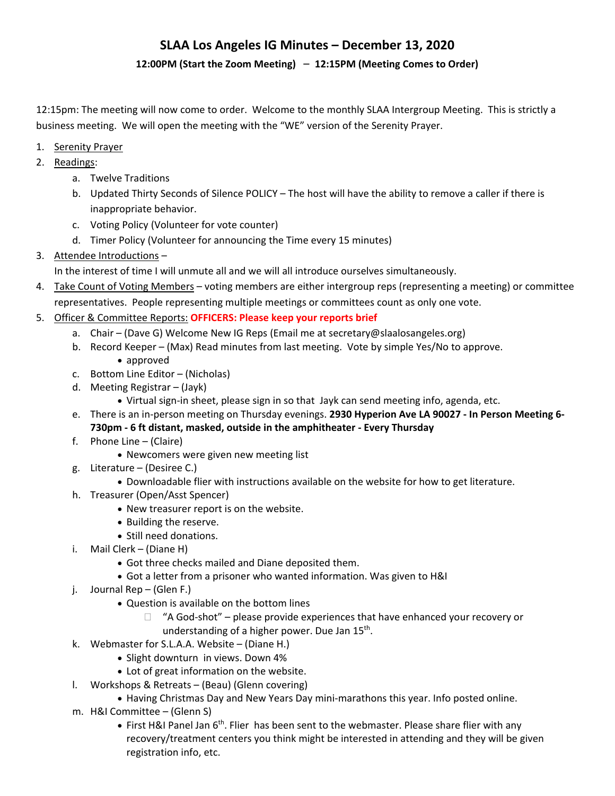#### **12:00PM (Start the Zoom Meeting)** – **12:15PM (Meeting Comes to Order)**

12:15pm: The meeting will now come to order. Welcome to the monthly SLAA Intergroup Meeting. This is strictly a business meeting. We will open the meeting with the "WE" version of the Serenity Prayer.

- 1. Serenity Prayer
- 2. Readings:
	- a. Twelve Traditions
	- b. Updated Thirty Seconds of Silence POLICY The host will have the ability to remove a caller if there is inappropriate behavior.
	- c. Voting Policy (Volunteer for vote counter)
	- d. Timer Policy (Volunteer for announcing the Time every 15 minutes)
- 3. Attendee Introductions –

In the interest of time I will unmute all and we will all introduce ourselves simultaneously.

- 4. Take Count of Voting Members voting members are either intergroup reps (representing a meeting) or committee representatives. People representing multiple meetings or committees count as only one vote.
- 5. Officer & Committee Reports: **OFFICERS: Please keep your reports brief**
	- a. Chair (Dave G) Welcome New IG Reps (Email me at secretary@slaalosangeles.org)
	- b. Record Keeper (Max) Read minutes from last meeting. Vote by simple Yes/No to approve. approved
	- c. Bottom Line Editor (Nicholas)
	- d. Meeting Registrar (Jayk)
		- Virtual sign‐in sheet, please sign in so that Jayk can send meeting info, agenda, etc.
	- e. There is an in‐person meeting on Thursday evenings. **2930 Hyperion Ave LA 90027 ‐ In Person Meeting 6‐ 730pm ‐ 6 ft distant, masked, outside in the amphitheater ‐ Every Thursday**
	- f. Phone Line (Claire)
		- Newcomers were given new meeting list
	- g. Literature (Desiree C.)
		- Downloadable flier with instructions available on the website for how to get literature.
	- h. Treasurer (Open/Asst Spencer)
		- New treasurer report is on the website.
		- Building the reserve.
		- Still need donations.
	- i. Mail Clerk (Diane H)
		- Got three checks mailed and Diane deposited them.
		- Got a letter from a prisoner who wanted information. Was given to H&I
	- j. Journal Rep (Glen F.)
		- Question is available on the bottom lines
			- $\Box$  "A God-shot" please provide experiences that have enhanced your recovery or understanding of a higher power. Due Jan 15<sup>th</sup>.
			-
	- k. Webmaster for S.L.A.A. Website (Diane H.)
		- Slight downturn in views. Down 4%
		- Lot of great information on the website.
	- l. Workshops & Retreats (Beau) (Glenn covering)
		- Having Christmas Day and New Years Day mini‐marathons this year. Info posted online.
	- m. H&I Committee (Glenn S)
		- First H&I Panel Jan 6<sup>th</sup>. Flier has been sent to the webmaster. Please share flier with any recovery/treatment centers you think might be interested in attending and they will be given registration info, etc.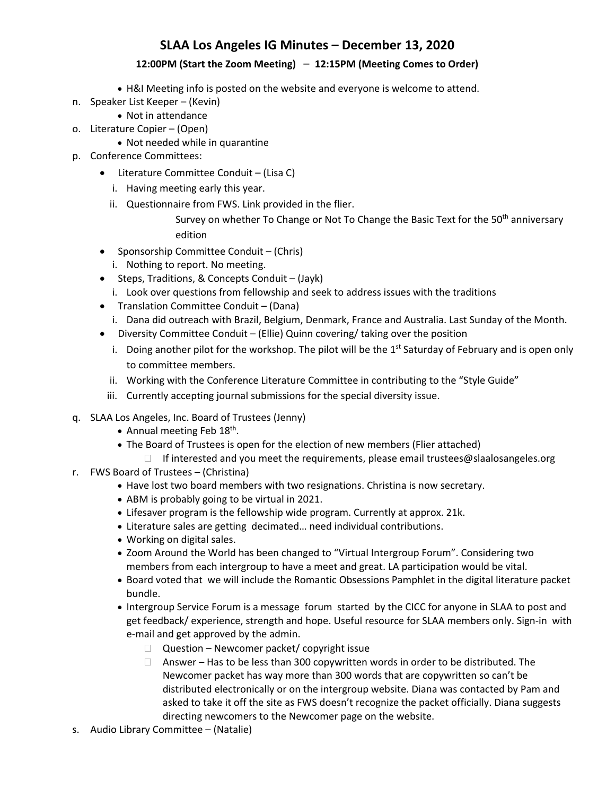### **12:00PM (Start the Zoom Meeting)** – **12:15PM (Meeting Comes to Order)**

- H&I Meeting info is posted on the website and everyone is welcome to attend.
- n. Speaker List Keeper (Kevin)
	- Not in attendance
- o. Literature Copier (Open)
	- Not needed while in quarantine
- p. Conference Committees:
	- Literature Committee Conduit (Lisa C)
		- i. Having meeting early this year.
		- ii. Questionnaire from FWS. Link provided in the flier.

Survey on whether To Change or Not To Change the Basic Text for the 50<sup>th</sup> anniversary edition

- Sponsorship Committee Conduit (Chris)
	- i. Nothing to report. No meeting.
- Steps, Traditions, & Concepts Conduit (Jayk)
	- i. Look over questions from fellowship and seek to address issues with the traditions
- Translation Committee Conduit (Dana)
	- i. Dana did outreach with Brazil, Belgium, Denmark, France and Australia. Last Sunday of the Month.
- Diversity Committee Conduit (Ellie) Quinn covering/ taking over the position
	- i. Doing another pilot for the workshop. The pilot will be the  $1^{st}$  Saturday of February and is open only to committee members.
	- ii. Working with the Conference Literature Committee in contributing to the "Style Guide"
	- iii. Currently accepting journal submissions for the special diversity issue.
- q. SLAA Los Angeles, Inc. Board of Trustees (Jenny)
	- Annual meeting Feb 18<sup>th</sup>.
	- The Board of Trustees is open for the election of new members (Flier attached)
	- $\Box$  If interested and you meet the requirements, please email trustees@slaalosangeles.org
- r. FWS Board of Trustees (Christina)
	- Have lost two board members with two resignations. Christina is now secretary.
	- ABM is probably going to be virtual in 2021.
	- Lifesaver program is the fellowship wide program. Currently at approx. 21k.
	- Literature sales are getting decimated… need individual contributions.
	- Working on digital sales.
	- Zoom Around the World has been changed to "Virtual Intergroup Forum". Considering two members from each intergroup to have a meet and great. LA participation would be vital.
	- Board voted that we will include the Romantic Obsessions Pamphlet in the digital literature packet bundle.
	- Intergroup Service Forum is a message forum started by the CICC for anyone in SLAA to post and get feedback/ experience, strength and hope. Useful resource for SLAA members only. Sign-in with e‐mail and get approved by the admin.
		- $\Box$  Question Newcomer packet/ copyright issue
		- $\Box$  Answer Has to be less than 300 copywritten words in order to be distributed. The Newcomer packet has way more than 300 words that are copywritten so can't be distributed electronically or on the intergroup website. Diana was contacted by Pam and asked to take it off the site as FWS doesn't recognize the packet officially. Diana suggests directing newcomers to the Newcomer page on the website.
- s. Audio Library Committee (Natalie)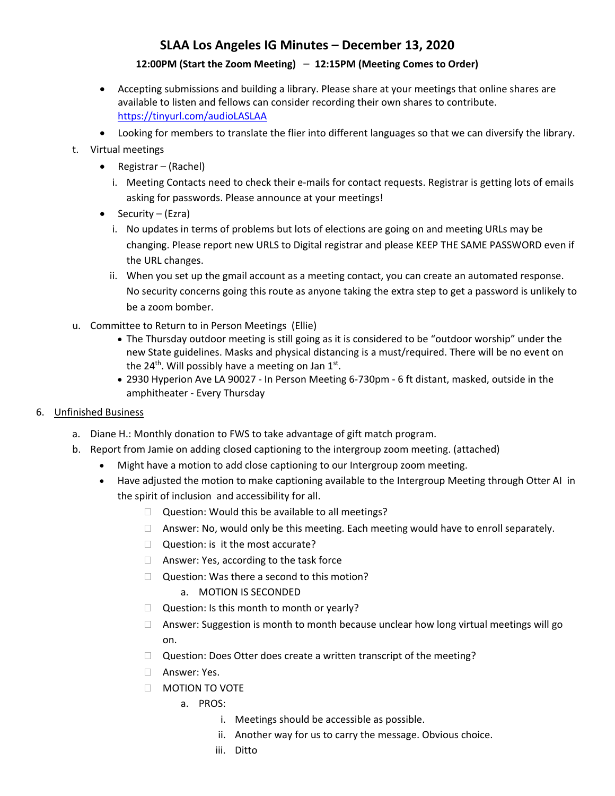### **12:00PM (Start the Zoom Meeting)** – **12:15PM (Meeting Comes to Order)**

- Accepting submissions and building a library. Please share at your meetings that online shares are available to listen and fellows can consider recording their own shares to contribute. https://tinyurl.com/audioLASLAA
- Looking for members to translate the flier into different languages so that we can diversify the library.

### t. Virtual meetings

- Registrar (Rachel)
	- i. Meeting Contacts need to check their e-mails for contact requests. Registrar is getting lots of emails asking for passwords. Please announce at your meetings!
- $\bullet$  Security (Ezra)
	- i. No updates in terms of problems but lots of elections are going on and meeting URLs may be changing. Please report new URLS to Digital registrar and please KEEP THE SAME PASSWORD even if the URL changes.
	- ii. When you set up the gmail account as a meeting contact, you can create an automated response. No security concerns going this route as anyone taking the extra step to get a password is unlikely to be a zoom bomber.
- u. Committee to Return to in Person Meetings (Ellie)
	- The Thursday outdoor meeting is still going as it is considered to be "outdoor worship" under the new State guidelines. Masks and physical distancing is a must/required. There will be no event on the 24<sup>th</sup>. Will possibly have a meeting on Jan  $1^{st}$ .
	- 2930 Hyperion Ave LA 90027 ‐ In Person Meeting 6‐730pm ‐ 6 ft distant, masked, outside in the amphitheater ‐ Every Thursday

### 6. Unfinished Business

- a. Diane H.: Monthly donation to FWS to take advantage of gift match program.
- b. Report from Jamie on adding closed captioning to the intergroup zoom meeting. (attached)
	- Might have a motion to add close captioning to our Intergroup zoom meeting.
	- Have adjusted the motion to make captioning available to the Intergroup Meeting through Otter AI in the spirit of inclusion and accessibility for all.
		- $\Box$  Question: Would this be available to all meetings?
		- $\Box$  Answer: No, would only be this meeting. Each meeting would have to enroll separately.
		- $\Box$  Question: is it the most accurate?
		- □ Answer: Yes, according to the task force
		- $\Box$  Question: Was there a second to this motion?
			- a. MOTION IS SECONDED
		- $\Box$  Question: Is this month to month or yearly?
		- $\Box$  Answer: Suggestion is month to month because unclear how long virtual meetings will go on.
		- $\Box$  Question: Does Otter does create a written transcript of the meeting?
		- Answer: Yes.
		- $\Box$  MOTION TO VOTE
			- a. PROS:
				- i. Meetings should be accessible as possible.
				- ii. Another way for us to carry the message. Obvious choice.
				- iii. Ditto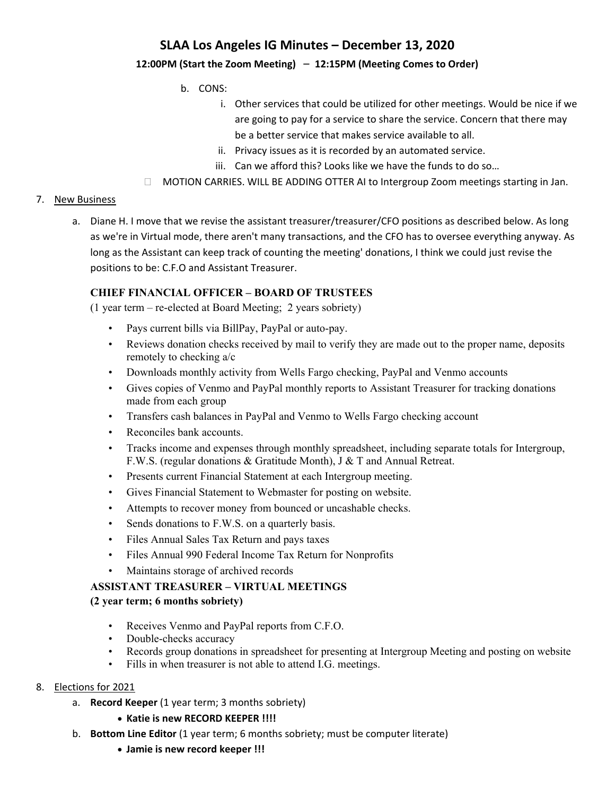### **12:00PM (Start the Zoom Meeting)** – **12:15PM (Meeting Comes to Order)**

- b. CONS:
	- i. Other services that could be utilized for other meetings. Would be nice if we are going to pay for a service to share the service. Concern that there may be a better service that makes service available to all.
	- ii. Privacy issues as it is recorded by an automated service.
	- iii. Can we afford this? Looks like we have the funds to do so…
- $\Box$  MOTION CARRIES. WILL BE ADDING OTTER AI to Intergroup Zoom meetings starting in Jan.

#### 7. New Business

a. Diane H. I move that we revise the assistant treasurer/treasurer/CFO positions as described below. As long as we're in Virtual mode, there aren't many transactions, and the CFO has to oversee everything anyway. As long as the Assistant can keep track of counting the meeting' donations, I think we could just revise the positions to be: C.F.O and Assistant Treasurer.

### **CHIEF FINANCIAL OFFICER – BOARD OF TRUSTEES**

(1 year term – re-elected at Board Meeting; 2 years sobriety)

- Pays current bills via BillPay, PayPal or auto-pay.
- Reviews donation checks received by mail to verify they are made out to the proper name, deposits remotely to checking a/c
- Downloads monthly activity from Wells Fargo checking, PayPal and Venmo accounts
- Gives copies of Venmo and PayPal monthly reports to Assistant Treasurer for tracking donations made from each group
- Transfers cash balances in PayPal and Venmo to Wells Fargo checking account
- Reconciles bank accounts.
- Tracks income and expenses through monthly spreadsheet, including separate totals for Intergroup, F.W.S. (regular donations & Gratitude Month), J & T and Annual Retreat.
- Presents current Financial Statement at each Intergroup meeting.
- Gives Financial Statement to Webmaster for posting on website.
- Attempts to recover money from bounced or uncashable checks.
- Sends donations to F.W.S. on a quarterly basis.
- Files Annual Sales Tax Return and pays taxes
- Files Annual 990 Federal Income Tax Return for Nonprofits
- Maintains storage of archived records

### **ASSISTANT TREASURER – VIRTUAL MEETINGS**

#### **(2 year term; 6 months sobriety)**

- Receives Venmo and PayPal reports from C.F.O.
- Double-checks accuracy
- Records group donations in spreadsheet for presenting at Intergroup Meeting and posting on website
- Fills in when treasurer is not able to attend I.G. meetings.

#### 8. Elections for 2021

- a. **Record Keeper** (1 year term; 3 months sobriety)
	- **Katie is new RECORD KEEPER !!!!**
- b. **Bottom Line Editor** (1 year term; 6 months sobriety; must be computer literate)
	- **Jamie is new record keeper !!!**